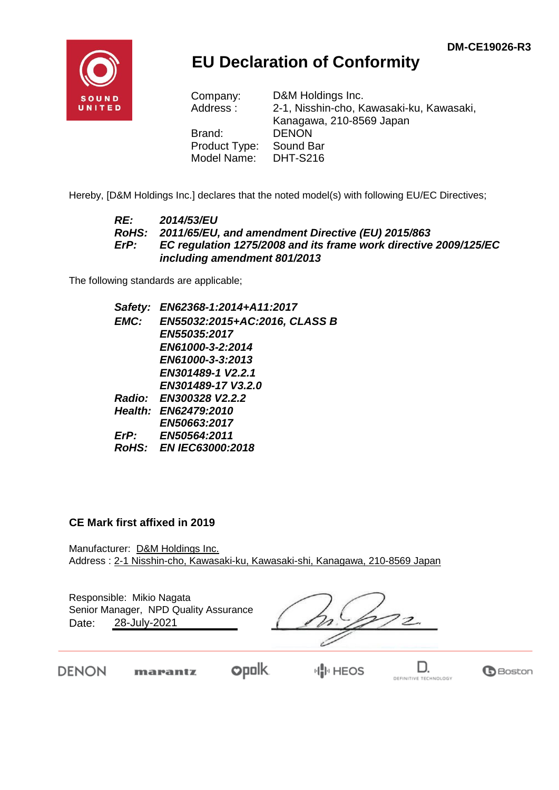

## **EU Declaration of Conformity**

| D&M Holdings Inc.                        |
|------------------------------------------|
| 2-1, Nisshin-cho, Kawasaki-ku, Kawasaki, |
| Kanagawa, 210-8569 Japan                 |
| <b>DENON</b>                             |
| Sound Bar                                |
| <b>DHT-S216</b>                          |
|                                          |

Hereby, [D&M Holdings Inc.] declares that the noted model(s) with following EU/EC Directives;

#### *RE: 2014/53/EU RoHS: 2011/65/EU, and amendment Directive (EU) 2015/863 ErP: EC regulation 1275/2008 and its frame work directive 2009/125/EC including amendment 801/2013*

The following standards are applicable;

| Safety: EN62368-1:2014+A11:2017    |
|------------------------------------|
| EMC: EN55032:2015+AC:2016, CLASS B |
| EN55035:2017                       |
| EN61000-3-2:2014                   |
| EN61000-3-3:2013                   |
| EN301489-1 V2.2.1                  |
| EN301489-17 V3.2.0                 |
| Radio: EN300328 V2.2.2             |
| Health: EN62479:2010               |
| EN50663:2017                       |
| ErP: EN50564:2011                  |
| RoHS: EN IEC63000:2018             |
|                                    |

#### **CE Mark first affixed in 2019**

Manufacturer: D&M Holdings Inc. Address : 2-1 Nisshin-cho, Kawasaki-ku, Kawasaki-shi, Kanagawa, 210-8569 Japan

Responsible: Mikio Nagata Date: 28-July-2021 Senior Manager, NPD Quality Assurance

DENON

marantz

**opolk** 

**H</u>III** HEOS

D. DEFINITIVE TECHNOLOGY